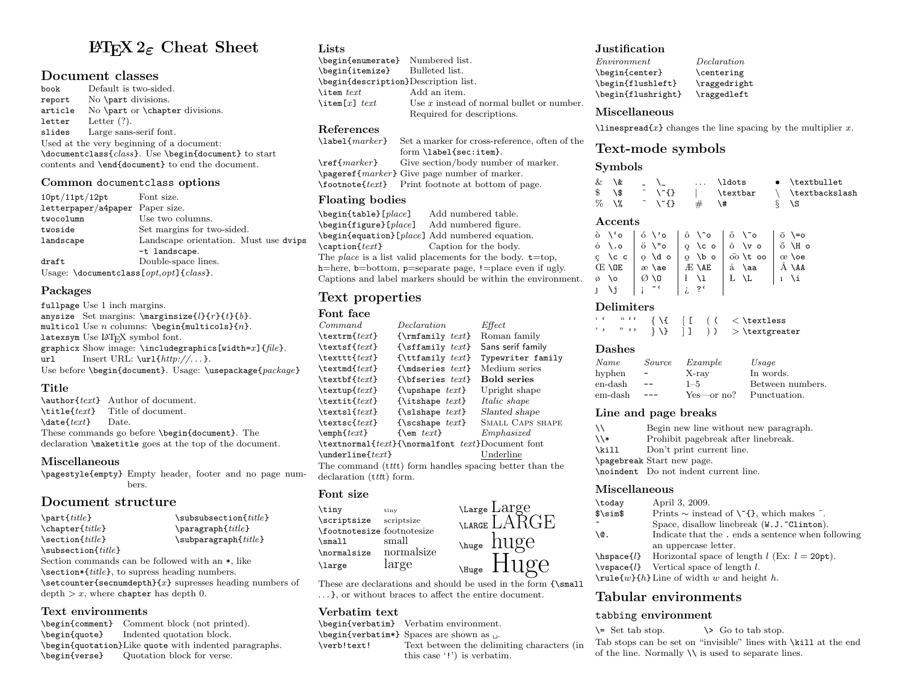# LATEX 2ε Cheat Sheet

## Document classes

book Default is two-sided. report No \part divisions. article No \part or \chapter divisions. letter Letter (?). slides Large sans-serif font. Used at the very beginning of a document: \documentclass{class}. Use \begin{document} to start contents and \end{document} to end the document.

#### Common documentclass options

| 10pt/11pt/12pt                                      | Font size.                            |  |  |
|-----------------------------------------------------|---------------------------------------|--|--|
| letterpaper/a4paper Paper size.                     |                                       |  |  |
| twocolumn                                           | Use two columns.                      |  |  |
| twoside                                             | Set margins for two-sided.            |  |  |
| landscape                                           | Landscape orientation. Must use dvips |  |  |
|                                                     | -t landscape.                         |  |  |
| draft                                               | Double-space lines.                   |  |  |
| Usage: $\text{locumentclass}[opt,opt]$ { $class$ }. |                                       |  |  |

#### Packages

fullpage Use 1 inch margins. anysize Set margins:  $\text{log}$   $\{l\}(r\}(t)\$ . multicol Use  $n$  columns: \begin{multicols}{ $n$ }. latexsym Use LATFX symbol font. graphicx Show image:  $\includegraphics[width=2]{file}}$ . url Insert URL:  $\ur1\{http://...}.$ Use before \begin{document}. Usage: \usepackage{package}

#### Title

\author{text} Author of document.  $\tilde{\text{text}}$  Title of document.<br>  $\text{text}}$  Date.  $\text{datef} \text{text}$ These commands go before \begin{document}. The declaration \maketitle goes at the top of the document.

#### Miscellaneous

\pagestyle{empty} Empty header, footer and no page numbers.

# Document structure

| $\partial$                                                                                                      | $\s$ ubsubsection $\{title\}$   |
|-----------------------------------------------------------------------------------------------------------------|---------------------------------|
| $\text{title}$                                                                                                  | $\text{parent}$                 |
| $\setminus$ section $\{title\}$                                                                                 | $\sub$ subparagraph $\{title\}$ |
| $\simeq$ \subsection{ <i>title</i> }                                                                            |                                 |
| Section commands can be followed with an $\ast$ , like                                                          |                                 |
| \section*{ <i>title</i> }, to supress heading numbers.                                                          |                                 |
| $\setminus$ setcounter{secnumdepth}{x} supresses heading numbers of<br>$depth > x$ , where chapter has depth 0. |                                 |
|                                                                                                                 |                                 |

# Text environments

\begin{comment} Comment block (not printed). \begin{quote} Indented quotation block. \begin{quotation}Like quote with indented paragraphs. \begin{verse} Quotation block for verse.

## **Lists**

| \begin{enumerate} Numbered list.     |                                             |
|--------------------------------------|---------------------------------------------|
| \begin{itemize} Bulleted list.       |                                             |
| \begin{description}Description list. |                                             |
| \item $text$                         | Add an item.                                |
| \item[x] $text$                      | Use $x$ instead of normal bullet or number. |
|                                      | Required for descriptions.                  |

# $References \lambda$

```
Set a marker for cross-reference, often of the
                  form \label{sec:item}.
\ref{marker} Give section/body number of marker.
\pageref{marker} Give page number of marker.
\footnote{text} Print footnote at bottom of page.
```
## Floating bodies

\begin{table}[ $place$ ] Add numbered table.<br>\begin{figure}[ $place$ ] Add numbered figure.  $\begin{bmatrix} \text{degree} \end{bmatrix}$ \begin{equation}[place] Add numbered equation. \caption{*text*} Caption for the body. The *place* is a list valid placements for the body.  $t = top$ , h=here, b=bottom, p=separate page, !=place even if ugly. Captions and label markers should be within the environment.

# Text properties

#### Font face

| Command                           | Declaration                                        | Effect                                                  |
|-----------------------------------|----------------------------------------------------|---------------------------------------------------------|
| $\texttt{text}$                   | $\{\mathsf{mfamily} \text{ } \text{ } \}$          | Roman family                                            |
| $\text{textf} \$                  | $\{\setminus \texttt{simily } \text{text}\}$       | Sans serif family                                       |
| \texttt $\{text\}$                | ${\text{Int}_{\text{amily}} \text{text}}$          | Typewriter family                                       |
| $\texttt{text}$                   | {\mdseries $text$ }                                | Medium series                                           |
| $\text{textf} \$                  | $\{\text{b} \text{f} \text{series } \text{text}\}$ | <b>Bold series</b>                                      |
| $\text{textup{} \$                | $\{\$ upshape \text{text}\}                        | Upright shape                                           |
| $\texttt{text}$                   | {\itshape $text$ }                                 | <i>Italic shape</i>                                     |
| $\texttt{text}$                   | $\{\s$ lshape $text\}$                             | Slanted shape                                           |
| $\texttt{text}$                   | {\scshape $text$ }                                 | SMALL CAPS SHAPE                                        |
| $\text{empty}$                    | $\{\text{sem } text\}$                             | Emphasized                                              |
|                                   | $\texttt{text}$ {\normalfont text}Document font    |                                                         |
| $\text{underline{text}$           |                                                    | Underline                                               |
|                                   |                                                    | The command (tttt) form handles spacing better than the |
| declaration ( <i>ttt</i> t) form. |                                                    |                                                         |

#### Font size

| \tiny                      | tiny       |
|----------------------------|------------|
| \scriptsize                | scriptsize |
| \footnotesize footnotesize |            |
| \small                     | small      |
| \normalsize                | normalsize |
| \large                     | large      |

These are declarations and should be used in the form  $\{\mathrm{small}$ . . . }, or without braces to affect the entire document.

#### Verbatim text

\begin{verbatim} Verbatim environment.

- $\begin{bmatrix} \begin{array}{c} x \\ y \end{array} \end{bmatrix}$  Spaces are shown as  $\cup$ .
- \verb!text! Text between the delimiting characters (in this case '!') is verbatim.

## **Justification**

| $\it Environment$  | Declaration  |
|--------------------|--------------|
| \begin{center}     | \centering   |
| \begin{flushleft}  | \raggedright |
| \begin{flushright} | \raggedleft  |

#### Miscellaneous

 $\langle$ linespread $\{x\}$  changes the line spacing by the multiplier x.

# Text-mode symbols

#### **Symbols**

| & \&    | $\sim$ $\sim$ $\sim$                                                                                                                                                                                                                                                                                                                                                                                                          |   | \ldots        | $\bullet$ \textbullet |
|---------|-------------------------------------------------------------------------------------------------------------------------------------------------------------------------------------------------------------------------------------------------------------------------------------------------------------------------------------------------------------------------------------------------------------------------------|---|---------------|-----------------------|
| \$\\$   | $\uparrow$ \ $\uparrow$ \ $\uparrow$ \ $\uparrow$ \ $\uparrow$ \ $\uparrow$ \ $\uparrow$ \ $\uparrow$ \ $\uparrow$ \ $\uparrow$ \ $\uparrow$ \ $\uparrow$ \ $\uparrow$ \ $\uparrow$ \ $\uparrow$ \ $\uparrow$ \ $\uparrow$ \ $\uparrow$ \ $\uparrow$ \ $\uparrow$ \ $\uparrow$ \ $\uparrow$ \ $\uparrow$ \ $\uparrow$ \ $\uparrow$ \ $\uparrow$ \ $\uparrow$ \ $\uparrow$ \ $\uparrow$ \ $\uparrow$ \ $\uparrow$ \ $\uparrow$ |   | \textbar      | \ \textbackslash      |
| $\%$ \% | $\uparrow$ \ $\uparrow$ \ $\uparrow$ \ $\uparrow$ \ $\uparrow$ \ $\uparrow$ \ $\uparrow$ \ $\uparrow$ \ $\uparrow$ \ $\uparrow$ \ $\uparrow$ \ $\uparrow$ \ $\uparrow$ \ $\uparrow$ \ $\uparrow$ \ $\uparrow$ \ $\uparrow$ \ $\uparrow$ \ $\uparrow$ \ $\uparrow$ \ $\uparrow$ \ $\uparrow$ \ $\uparrow$ \ $\uparrow$ \ $\uparrow$ \ $\uparrow$ \ $\uparrow$ \ $\uparrow$ \ $\uparrow$ \ $\uparrow$ \ $\uparrow$ \ $\uparrow$ | # | $\setminus$ # | ∛ \S                  |

#### Accents

|                                     | ò \'o   ó \'o   ô \^o   õ \~o   ō \=o                                                                   |  |
|-------------------------------------|---------------------------------------------------------------------------------------------------------|--|
|                                     | $\circ$ \.o $\circ$ $\circ$ \"o $\circ$ \co $\circ$ \vo $\circ$ \Ho                                     |  |
|                                     | $\zeta$ \cc $\circ$ \do $\circ$ \bo $\circ$ \cc $\circ$ \do $\circ$ \bo $\circ$ \cc $\circ$ \cc $\circ$ |  |
|                                     | $\times$ \OE   $\infty$ \ae   $E$ \AE   $\aa$ \aa   $\AA$ \AA                                           |  |
|                                     | $\emptyset$ \o $\emptyset$ \0   $\{$ \1   $L$ \L   $\iota$ \i                                           |  |
| $J \setminus j \mid i \in \{1, 2\}$ |                                                                                                         |  |

#### Delimiters

| $, \cdot$ |  |  |  | $\{\ \} \ \   \ \   \ \ ) \ \ > \ \$ |
|-----------|--|--|--|--------------------------------------|

#### Dashes

| Name    | Source          | Example    | Usage            |
|---------|-----------------|------------|------------------|
| hyphen  | $\qquad \qquad$ | X-ray      | In words.        |
| en-dash | $- -$           | $1 - 5$    | Between numbers. |
| em-dash |                 | Yes—or no? | Punctuation.     |

#### Line and page breaks

| ハ                        | Begin new line without new paragraph. |
|--------------------------|---------------------------------------|
| $\overline{\phantom{a}}$ | Prohibit pagebreak after linebreak.   |
| \kill                    | Don't print current line.             |
|                          | \pagebreak Start new page.            |
|                          | \noindent Do not indent current line. |

#### Miscellaneous

| \today       | April 3, 2009.                                                        |
|--------------|-----------------------------------------------------------------------|
| $\sim$       | Prints $\sim$ instead of $\Upsilon$ {}, which makes $\tilde{\ }$ .    |
| ∼            | Space, disallow linebreak (W.J. "Clinton).                            |
| <b>\@.</b>   | Indicate that the. ends a sentence when following                     |
|              | an uppercase letter.                                                  |
|              | \hspace{ <i>l</i> } Horizontal space of length $l$ (Ex: $l = 20pt$ ). |
| $\{Vspace\}$ | Vertical space of length $l$ .                                        |
|              | $\mathcal{w}{h}$ Line of width w and height h.                        |
|              |                                                                       |

# Tabular environments

#### tabbing environment

 $\setminus$  Set tab stop.  $\setminus$   $\setminus$  Go to tab stop. Tab stops can be set on "invisible" lines with \kill at the end of the line. Normally  $\setminus \setminus$  is used to separate lines.